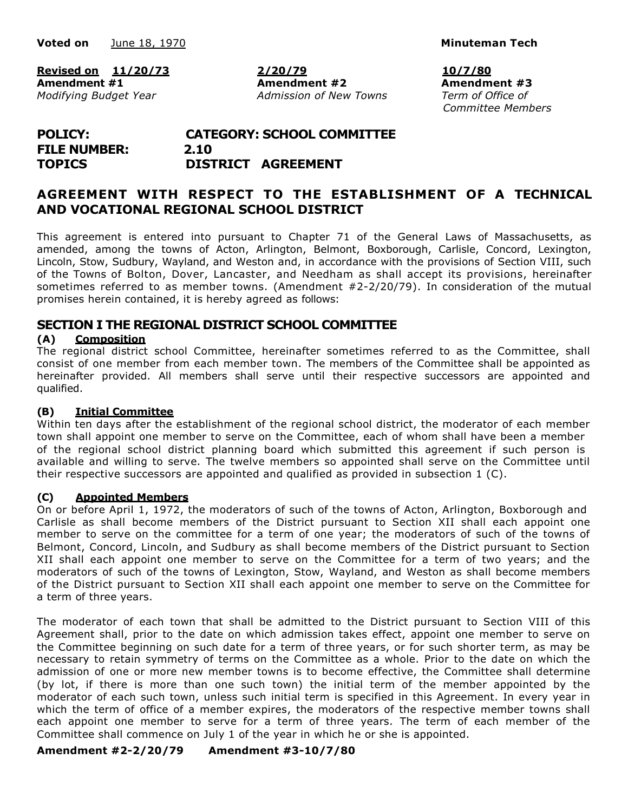**Voted** on **Minuteman** Tech **Minuteman Minuteman Minuteman Minuteman Minuteman** 

**Revised on 11/20/73 2/20/79 10/7/80 Amendment #1 Amendment #2 Amendment #3** *Modifying Budget Year Admission of New Towns Term of Office of*

*Committee Members*

## **POLICY: CATEGORY: SCHOOL COMMITTEE FILE NUMBER: 2.10 TOPICS DISTRICT AGREEMENT**

## **AGREEMENT WITH RESPECT TO THE ESTABLISHMENT OF A TECHNICAL AND VOCATIONAL REGIONAL SCHOOL DISTRICT**

This agreement is entered into pursuant to Chapter 71 of the General Laws of Massachusetts, as amended, among the towns of Acton, Arlington, Belmont, Boxborough, Carlisle, Concord, Lexington, Lincoln, Stow, Sudbury, Wayland, and Weston and, in accordance with the provisions of Section VIII, such of the Towns of Bolton, Dover, Lancaster, and Needham as shall accept its provisions, hereinafter sometimes referred to as member towns. (Amendment #2-2/20/79). In consideration of the mutual promises herein contained, it is hereby agreed as follows:

### **SECTION I THE REGIONAL DISTRICT SCHOOL COMMITTEE**

#### **(A) Composition**

The regional district school Committee, hereinafter sometimes referred to as the Committee, shall consist of one member from each member town. The members of the Committee shall be appointed as hereinafter provided. All members shall serve until their respective successors are appointed and qualified.

#### **(B) Initial Committee**

Within ten days after the establishment of the regional school district, the moderator of each member town shall appoint one member to serve on the Committee, each of whom shall have been a member of the regional school district planning board which submitted this agreement if such person is available and willing to serve. The twelve members so appointed shall serve on the Committee until their respective successors are appointed and qualified as provided in subsection 1 (C).

#### **(C) Appointed Members**

On or before April 1, 1972, the moderators of such of the towns of Acton, Arlington, Boxborough and Carlisle as shall become members of the District pursuant to Section XII shall each appoint one member to serve on the committee for a term of one year; the moderators of such of the towns of Belmont, Concord, Lincoln, and Sudbury as shall become members of the District pursuant to Section XII shall each appoint one member to serve on the Committee for a term of two years; and the moderators of such of the towns of Lexington, Stow, Wayland, and Weston as shall become members of the District pursuant to Section XII shall each appoint one member to serve on the Committee for a term of three years.

The moderator of each town that shall be admitted to the District pursuant to Section VIII of this Agreement shall, prior to the date on which admission takes effect, appoint one member to serve on the Committee beginning on such date for a term of three years, or for such shorter term, as may be necessary to retain symmetry of terms on the Committee as a whole. Prior to the date on which the admission of one or more new member towns is to become effective, the Committee shall determine (by lot, if there is more than one such town) the initial term of the member appointed by the moderator of each such town, unless such initial term is specified in this Agreement. In every year in which the term of office of a member expires, the moderators of the respective member towns shall each appoint one member to serve for a term of three years. The term of each member of the Committee shall commence on July 1 of the year in which he or she is appointed.

#### **Amendment #2-2/20/79 Amendment #3-10/7/80**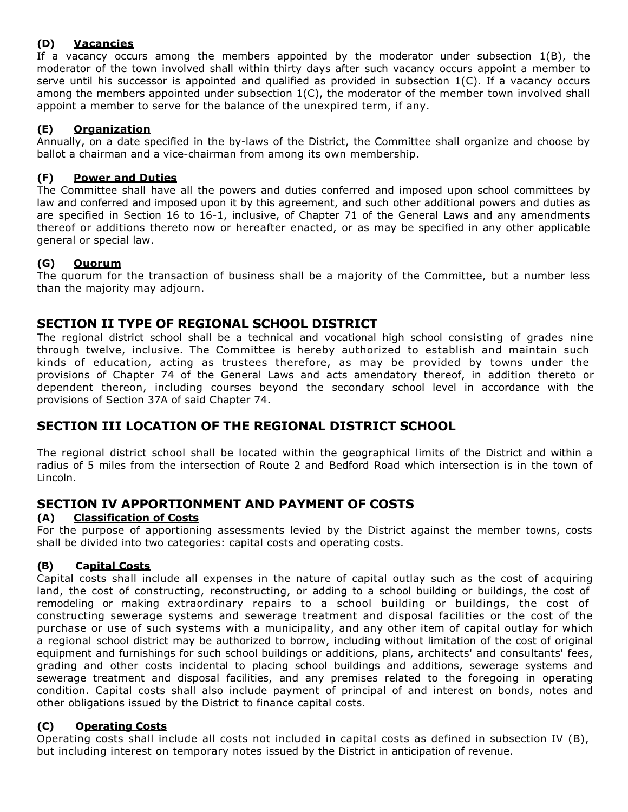## **(D) Vacancies**

If a vacancy occurs among the members appointed by the moderator under subsection 1(B), the moderator of the town involved shall within thirty days after such vacancy occurs appoint a member to serve until his successor is appointed and qualified as provided in subsection 1(C). If a vacancy occurs among the members appointed under subsection 1(C), the moderator of the member town involved shall appoint a member to serve for the balance of the unexpired term, if any.

### **(E) Organization**

Annually, on a date specified in the by-laws of the District, the Committee shall organize and choose by ballot a chairman and a vice-chairman from among its own membership.

### **(F) Power and Duties**

The Committee shall have all the powers and duties conferred and imposed upon school committees by law and conferred and imposed upon it by this agreement, and such other additional powers and duties as are specified in Section 16 to 16-1, inclusive, of Chapter 71 of the General Laws and any amendments thereof or additions thereto now or hereafter enacted, or as may be specified in any other applicable general or special law.

### **(G) Quorum**

The quorum for the transaction of business shall be a majority of the Committee, but a number less than the majority may adjourn.

## **SECTION II TYPE OF REGIONAL SCHOOL DISTRICT**

The regional district school shall be a technical and vocational high school consisting of grades nine through twelve, inclusive. The Committee is hereby authorized to establish and maintain such kinds of education, acting as trustees therefore, as may be provided by towns under the provisions of Chapter 74 of the General Laws and acts amendatory thereof, in addition thereto or dependent thereon, including courses beyond the secondary school level in accordance with the provisions of Section 37A of said Chapter 74.

## **SECTION III LOCATION OF THE REGIONAL DISTRICT SCHOOL**

The regional district school shall be located within the geographical limits of the District and within a radius of 5 miles from the intersection of Route 2 and Bedford Road which intersection is in the town of Lincoln.

## **SECTION IV APPORTIONMENT AND PAYMENT OF COSTS**

#### **(A) Classification of Costs**

For the purpose of apportioning assessments levied by the District against the member towns, costs shall be divided into two categories: capital costs and operating costs.

#### **(B) Capital Costs**

Capital costs shall include all expenses in the nature of capital outlay such as the cost of acquiring land, the cost of constructing, reconstructing, or adding to a school building or buildings, the cost of remodeling or making extraordinary repairs to a school building or buildings, the cost of constructing sewerage systems and sewerage treatment and disposal facilities or the cost of the purchase or use of such systems with a municipality, and any other item of capital outlay for which a regional school district may be authorized to borrow, including without limitation of the cost of original equipment and furnishings for such school buildings or additions, plans, architects' and consultants' fees, grading and other costs incidental to placing school buildings and additions, sewerage systems and sewerage treatment and disposal facilities, and any premises related to the foregoing in operating condition. Capital costs shall also include payment of principal of and interest on bonds, notes and other obligations issued by the District to finance capital costs.

#### **(C) Operating Costs**

Operating costs shall include all costs not included in capital costs as defined in subsection IV (B), but including interest on temporary notes issued by the District in anticipation of revenue.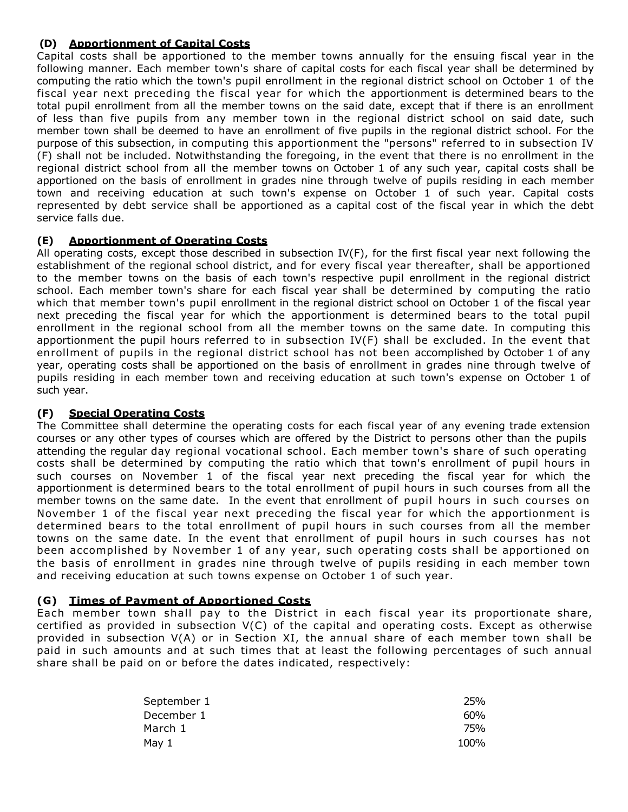#### **(D) Apportionment of Capital Costs**

Capital costs shall be apportioned to the member towns annually for the ensuing fiscal year in the following manner. Each member town's share of capital costs for each fiscal year shall be determined by computing the ratio which the town's pupil enrollment in the regional district school on October 1 of the fiscal year next preceding the fiscal year for which the apportionment is determined bears to the total pupil enrollment from all the member towns on the said date, except that if there is an enrollment of less than five pupils from any member town in the regional district school on said date, such member town shall be deemed to have an enrollment of five pupils in the regional district school. For the purpose of this subsection, in computing this apportionment the "persons" referred to in subsection IV (F) shall not be included. Notwithstanding the foregoing, in the event that there is no enrollment in the regional district school from all the member towns on October 1 of any such year, capital costs shall be apportioned on the basis of enrollment in grades nine through twelve of pupils residing in each member town and receiving education at such town's expense on October 1 of such year. Capital costs represented by debt service shall be apportioned as a capital cost of the fiscal year in which the debt service falls due.

### **(E) Apportionment of Operating Costs**

All operating costs, except those described in subsection IV(F), for the first fiscal year next following the establishment of the regional school district, and for every fiscal year thereafter, shall be apportioned to the member towns on the basis of each town's respective pupil enrollment in the regional district school. Each member town's share for each fiscal year shall be determined by computing the ratio which that member town's pupil enrollment in the regional district school on October 1 of the fiscal year next preceding the fiscal year for which the apportionment is determined bears to the total pupil enrollment in the regional school from all the member towns on the same date. In computing this apportionment the pupil hours referred to in subsection IV(F) shall be excluded. In the event that enrollment of pupils in the regional district school has not been accomplished by October 1 of any year, operating costs shall be apportioned on the basis of enrollment in grades nine through twelve of pupils residing in each member town and receiving education at such town's expense on October 1 of such year.

#### **(F) Special Operating Costs**

The Committee shall determine the operating costs for each fiscal year of any evening trade extension courses or any other types of courses which are offered by the District to persons other than the pupils attending the regular day regional vocational school. Each member town's share of such operating costs shall be determined by computing the ratio which that town's enrollment of pupil hours in such courses on November 1 of the fiscal year next preceding the fiscal year for which the apportionment is determined bears to the total enrollment of pupil hours in such courses from all the member towns on the same date. In the event that enrollment of pupil hours in such courses on November 1 of the fiscal year next preceding the fiscal year for which the apportionment is determined bears to the total enrollment of pupil hours in such courses from all the member towns on the same date. In the event that enrollment of pupil hours in such courses has not been accomplished by November 1 of any year, such operating costs shall be apportioned on the basis of enrollment in grades nine through twelve of pupils residing in each member town and receiving education at such towns expense on October 1 of such year.

#### **(G) Times of Payment of Apportioned Costs**

Each member town shall pay to the District in each fiscal year its proportionate share, certified as provided in subsection V(C) of the capital and operating costs. Except as otherwise provided in subsection V(A) or in Section XI, the annual share of each member town shall be paid in such amounts and at such times that at least the following percentages of such annual share shall be paid on or before the dates indicated, respectively:

| September 1 | 25%  |
|-------------|------|
| December 1  | 60%  |
| March 1     | 75%  |
| May 1       | 100% |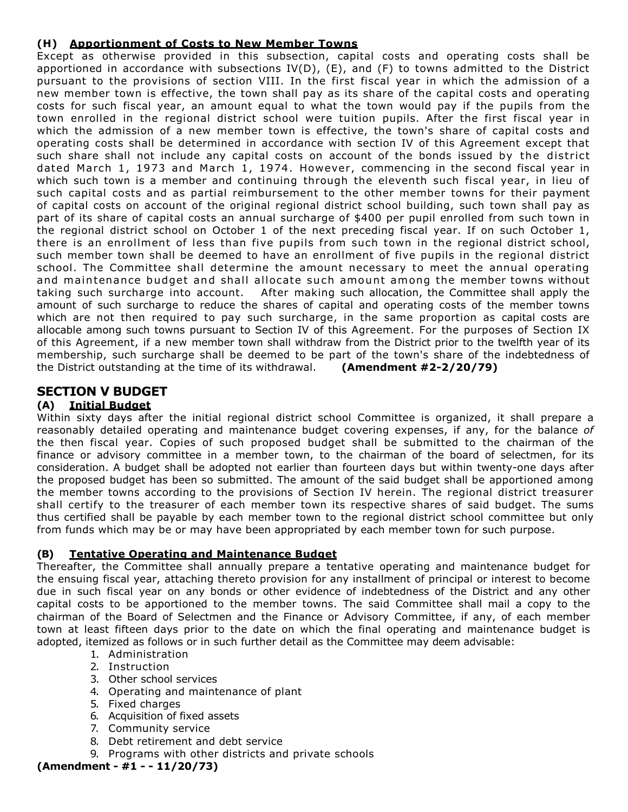### **(H) Apportionment of Costs to New Member Towns**

Except as otherwise provided in this subsection, capital costs and operating costs shall be apportioned in accordance with subsections IV(D), (E), and (F) to towns admitted to the District pursuant to the provisions of section VIII. In the first fiscal year in which the admission of a new member town is effective, the town shall pay as its share of the capital costs and operating costs for such fiscal year, an amount equal to what the town would pay if the pupils from the town enrolled in the regional district school were tuition pupils. After the first fiscal year in which the admission of a new member town is effective, the town's share of capital costs and operating costs shall be determined in accordance with section IV of this Agreement except that such share shall not include any capital costs on account of the bonds issued by the district dated March 1, 1973 and March 1, 1974. However, commencing in the second fiscal year in which such town is a member and continuing through the eleventh such fiscal year, in lieu of such capital costs and as partial reimbursement to the other member towns for their payment of capital costs on account of the original regional district school building, such town shall pay as part of its share of capital costs an annual surcharge of \$400 per pupil enrolled from such town in the regional district school on October 1 of the next preceding fiscal year. If on such October 1, there is an enrollment of less than five pupils from such town in the regional district school, such member town shall be deemed to have an enrollment of five pupils in the regional district school. The Committee shall determine the amount necessary to meet the annual operating and maintenan ce budget and shall allocate such amount among the member towns without taking such surcharge into account. After making such allocation, the Committee shall apply the amount of such surcharge to reduce the shares of capital and operating costs of the member towns which are not then required to pay such surcharge, in the same proportion as capital costs are allocable among such towns pursuant to Section IV of this Agreement. For the purposes of Section IX of this Agreement, if a new member town shall withdraw from the District prior to the twelfth year of its membership, such surcharge shall be deemed to be part of the town's share of the indebtedness of the District outstanding at the time of its withdrawal. **(Amendment #2-2/20/79)**

## **SECTION V BUDGET**

### **(A) Initial Budget**

Within sixty days after the initial regional district school Committee is organized, it shall prepare a reasonably detailed operating and maintenance budget covering expenses, if any, for the balance *of*  the then fiscal year. Copies of such proposed budget shall be submitted to the chairman of the finance or advisory committee in a member town, to the chairman of the board of selectmen, for its consideration. A budget shall be adopted not earlier than fourteen days but within twenty-one days after the proposed budget has been so submitted. The amount of the said budget shall be apportioned among the member towns according to the provisions of Section IV herein. The regional district treasurer shall certify to the treasurer of each member town its respective shares of said budget. The sums thus certified shall be payable by each member town to the regional district school committee but only from funds which may be or may have been appropriated by each member town for such purpose.

#### **(B) Tentative Operating and Maintenance Budget**

Thereafter, the Committee shall annually prepare a tentative operating and maintenance budget for the ensuing fiscal year, attaching thereto provision for any installment of principal or interest to become due in such fiscal year on any bonds or other evidence of indebtedness of the District and any other capital costs to be apportioned to the member towns. The said Committee shall mail a copy to the chairman of the Board of Selectmen and the Finance or Advisory Committee, if any, of each member town at least fifteen days prior to the date on which the final operating and maintenance budget is adopted, itemized as follows or in such further detail as the Committee may deem advisable:

- 1. Administration
- 2. Instruction
- 3. Other school services
- 4. Operating and maintenance of plant
- 5. Fixed charges
- 6. Acquisition of fixed assets
- 7. Community service
- 8. Debt retirement and debt service
- 9. Programs with other districts and private schools

**(Amendment - #1 - - 11/20/73)**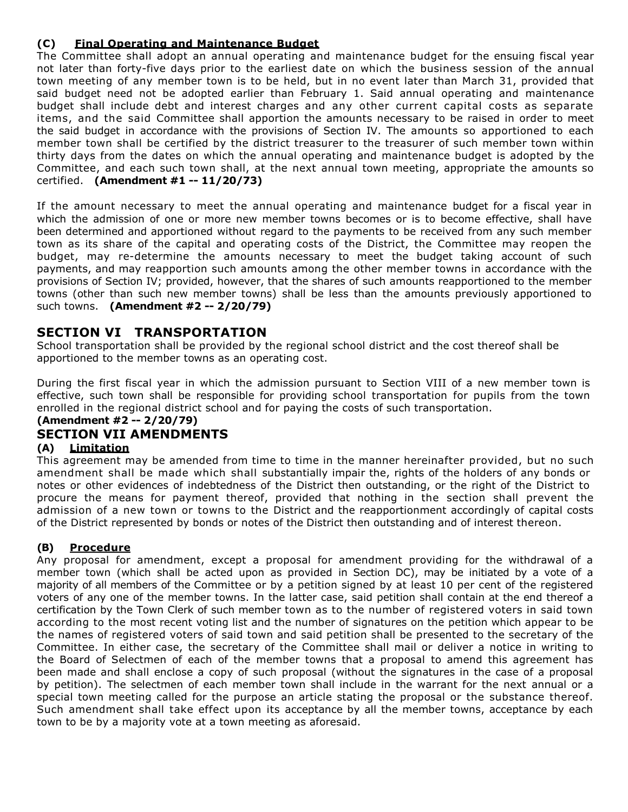## **(C) Final Operating and Maintenance Budget**

The Committee shall adopt an annual operating and maintenance budget for the ensuing fiscal year not later than forty-five days prior to the earliest date on which the business session of the annual town meeting of any member town is to be held, but in no event later than March 31, provided that said budget need not be adopted earlier than February 1. Said annual operating and maintenance budget shall include debt and interest charges and any other current capital costs as separate items, and the said Committee shall apportion the amounts necessary to be raised in order to meet the said budget in accordance with the provisions of Section IV. The amounts so apportioned to each member town shall be certified by the district treasurer to the treasurer of such member town within thirty days from the dates on which the annual operating and maintenance budget is adopted by the Committee, and each such town shall, at the next annual town meeting, appropriate the amounts so certified. **(Amendment #1 -- 11/20/73)**

If the amount necessary to meet the annual operating and maintenance budget for a fiscal year in which the admission of one or more new member towns becomes or is to become effective, shall have been determined and apportioned without regard to the payments to be received from any such member town as its share of the capital and operating costs of the District, the Committee may reopen the budget, may re-determine the amounts necessary to meet the budget taking account of such payments, and may reapportion such amounts among the other member towns in accordance with the provisions of Section IV; provided, however, that the shares of such amounts reapportioned to the member towns (other than such new member towns) shall be less than the amounts previously apportioned to such towns. **(Amendment #2 -- 2/20/79)**

## **SECTION VI TRANSPORTATION**

School transportation shall be provided by the regional school district and the cost thereof shall be apportioned to the member towns as an operating cost.

During the first fiscal year in which the admission pursuant to Section VIII of a new member town is effective, such town shall be responsible for providing school transportation for pupils from the town enrolled in the regional district school and for paying the costs of such transportation.

# **(Amendment #2 -- 2/20/79)**

## **SECTION VII AMENDMENTS**

#### **(A) Limitation**

This agreement may be amended from time to time in the manner hereinafter provided, but no such amendment shall be made which shall substantially impair the, rights of the holders of any bonds or notes or other evidences of indebtedness of the District then outstanding, or the right of the District to procure the means for payment thereof, provided that nothing in the section shall prevent the admission of a new town or towns to the District and the reapportionment accordingly of capital costs of the District represented by bonds or notes of the District then outstanding and of interest thereon.

#### **(B) Procedure**

Any proposal for amendment, except a proposal for amendment providing for the withdrawal of a member town (which shall be acted upon as provided in Section DC), may be initiated by a vote of a majority of all members of the Committee or by a petition signed by at least 10 per cent of the registered voters of any one of the member towns. In the latter case, said petition shall contain at the end thereof a certification by the Town Clerk of such member town as to the number of registered voters in said town according to the most recent voting list and the number of signatures on the petition which appear to be the names of registered voters of said town and said petition shall be presented to the secretary of the Committee. In either case, the secretary of the Committee shall mail or deliver a notice in writing to the Board of Selectmen of each of the member towns that a proposal to amend this agreement has been made and shall enclose a copy of such proposal (without the signatures in the case of a proposal by petition). The selectmen of each member town shall include in the warrant for the next annual or a special town meeting called for the purpose an article stating the proposal or the substance thereof. Such amendment shall take effect upon its acceptance by all the member towns, acceptance by each town to be by a majority vote at a town meeting as aforesaid.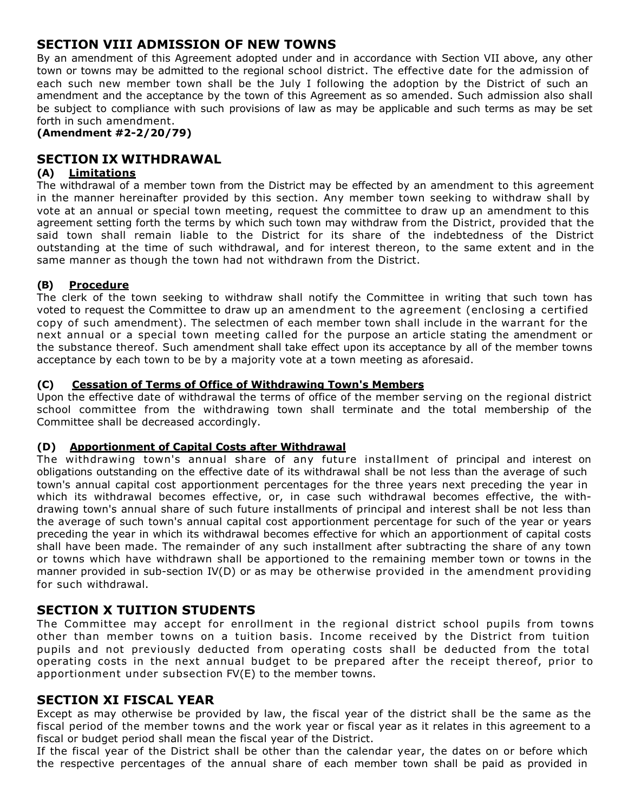## **SECTION VIII ADMISSION OF NEW TOWNS**

By an amendment of this Agreement adopted under and in accordance with Section VII above, any other town or towns may be admitted to the regional school district. The effective date for the admission of each such new member town shall be the July I following the adoption by the District of such an amendment and the acceptance by the town of this Agreement as so amended. Such admission also shall be subject to compliance with such provisions of law as may be applicable and such terms as may be set forth in such amendment.

**(Amendment #2-2/20/79)**

## **SECTION IX WITHDRAWAL**

#### **(A) Limitations**

The withdrawal of a member town from the District may be effected by an amendment to this agreement in the manner hereinafter provided by this section. Any member town seeking to withdraw shall by vote at an annual or special town meeting, request the committee to draw up an amendment to this agreement setting forth the terms by which such town may withdraw from the District, provided that the said town shall remain liable to the District for its share of the indebtedness of the District outstanding at the time of such withdrawal, and for interest thereon, to the same extent and in the same manner as though the town had not withdrawn from the District.

#### **(B) Procedure**

The clerk of the town seeking to withdraw shall notify the Committee in writing that such town has voted to request the Committee to draw up an amendment to the agreement (enclosing a certified copy of such amendment). The selectmen of each member town shall include in the warrant for the next annual or a special town meeting called for the purpose an article stating the amendment or the substance thereof. Such amendment shall take effect upon its acceptance by all of the member towns acceptance by each town to be by a majority vote at a town meeting as aforesaid.

#### **(C) Cessation of Terms of Office of Withdrawing Town's Members**

Upon the effective date of withdrawal the terms of office of the member serving on the regional district school committee from the withdrawing town shall terminate and the total membership of the Committee shall be decreased accordingly.

#### **(D) Apportionment of Capital Costs after Withdrawal**

The withdrawing town's annual share of any future installment of principal and interest on obligations outstanding on the effective date of its withdrawal shall be not less than the average of such town's annual capital cost apportionment percentages for the three years next preceding the year in which its withdrawal becomes effective, or, in case such withdrawal becomes effective, the withdrawing town's annual share of such future installments of principal and interest shall be not less than the average of such town's annual capital cost apportionment percentage for such of the year or years preceding the year in which its withdrawal becomes effective for which an apportionment of capital costs shall have been made. The remainder of any such installment after subtracting the share of any town or towns which have withdrawn shall be apportioned to the remaining member town or towns in the manner provided in sub-section IV(D) or as may be otherwise provided in the amendment providing for such withdrawal.

## **SECTION X TUITION STUDENTS**

The Committee may accept for enrollment in the regional district school pupils from towns other than member towns on a tuition basis. Income received by the District from tuition pupils and not previously deducted from operating costs shall be deducted from the total operating costs in the next annual budget to be prepared after the receipt thereof, prior to apportionment under subsection FV(E) to the member towns.

## **SECTION XI FISCAL YEAR**

Except as may otherwise be provided by law, the fiscal year of the district shall be the same as the fiscal period of the member towns and the work year or fiscal year as it relates in this agreement to a fiscal or budget period shall mean the fiscal year of the District.

If the fiscal year of the District shall be other than the calendar year, the dates on or before which the respective percentages of the annual share of each member town shall be paid as provided in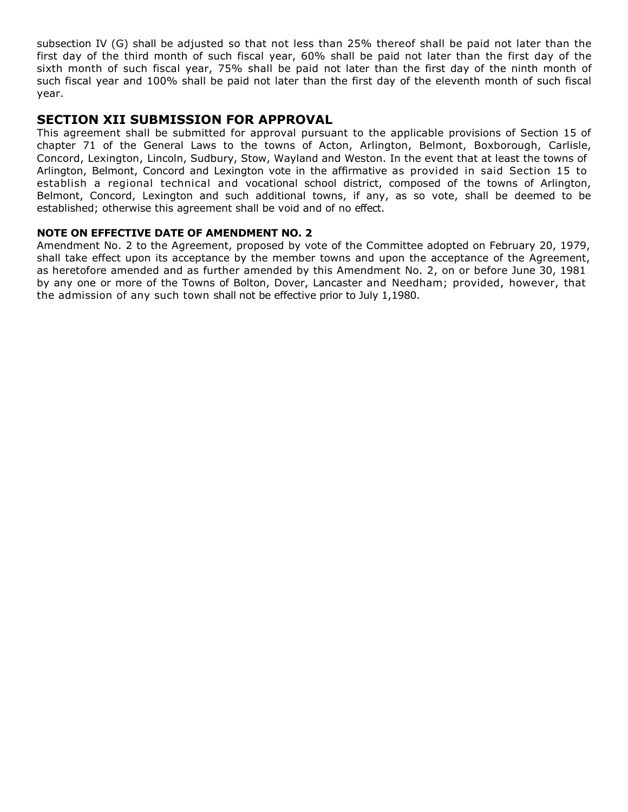subsection IV (G) shall be adjusted so that not less than 25% thereof shall be paid not later than the first day of the third month of such fiscal year, 60% shall be paid not later than the first day of the sixth month of such fiscal year, 75% shall be paid not later than the first day of the ninth month of such fiscal year and 100% shall be paid not later than the first day of the eleventh month of such fiscal year.

## **SECTION XII SUBMISSION FOR APPROVAL**

This agreement shall be submitted for approval pursuant to the applicable provisions of Section 15 of chapter 71 of the General Laws to the towns of Acton, Arlington, Belmont, Boxborough, Carlisle, Concord, Lexington, Lincoln, Sudbury, Stow, Wayland and Weston. In the event that at least the towns of Arlington, Belmont, Concord and Lexington vote in the affirmative as provided in said Section 15 to establish a regional technical and vocational school district, composed of the towns of Arlington, Belmont, Concord, Lexington and such additional towns, if any, as so vote, shall be deemed to be established; otherwise this agreement shall be void and of no effect.

#### **NOTE ON EFFECTIVE DATE OF AMENDMENT NO. 2**

Amendment No. 2 to the Agreement, proposed by vote of the Committee adopted on February 20, 1979, shall take effect upon its acceptance by the member towns and upon the acceptance of the Agreement, as heretofore amended and as further amended by this Amendment No. 2, on or before June 30, 1981 by any one or more of the Towns of Bolton, Dover, Lancaster and Needham; provided, however, that the admission of any such town shall not be effective prior to July 1,1980.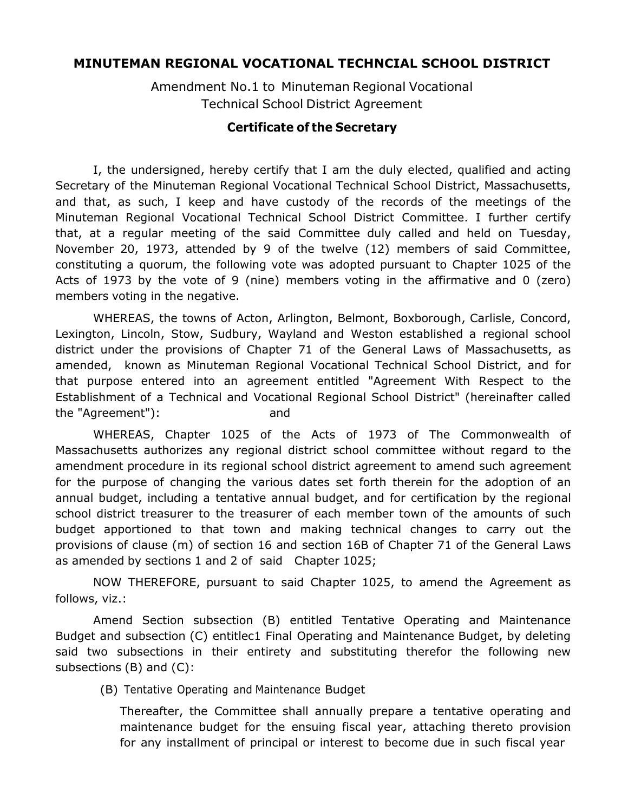## **MINUTEMAN REGIONAL VOCATIONAL TECHNCIAL SCHOOL DISTRICT**

Amendment No.1 to Minuteman Regional Vocational Technical School District Agreement

## **Certificate of the Secretary**

I, the undersigned, hereby certify that I am the duly elected, qualified and acting Secretary of the Minuteman Regional Vocational Technical School District, Massachusetts, and that, as such, I keep and have custody of the records of the meetings of the Minuteman Regional Vocational Technical School District Committee. I further certify that, at a regular meeting of the said Committee duly called and held on Tuesday, November 20, 1973, attended by 9 of the twelve (12) members of said Committee, constituting a quorum, the following vote was adopted pursuant to Chapter 1025 of the Acts of 1973 by the vote of 9 (nine) members voting in the affirmative and 0 (zero) members voting in the negative.

WHEREAS, the towns of Acton, Arlington, Belmont, Boxborough, Carlisle, Concord, Lexington, Lincoln, Stow, Sudbury, Wayland and Weston established a regional school district under the provisions of Chapter 71 of the General Laws of Massachusetts, as amended, known as Minuteman Regional Vocational Technical School District, and for that purpose entered into an agreement entitled "Agreement With Respect to the Establishment of a Technical and Vocational Regional School District" (hereinafter called the "Agreement"): and

WHEREAS, Chapter 1025 of the Acts of 1973 of The Commonwealth of Massachusetts authorizes any regional district school committee without regard to the amendment procedure in its regional school district agreement to amend such agreement for the purpose of changing the various dates set forth therein for the adoption of an annual budget, including a tentative annual budget, and for certification by the regional school district treasurer to the treasurer of each member town of the amounts of such budget apportioned to that town and making technical changes to carry out the provisions of clause (m) of section 16 and section 16B of Chapter 71 of the General Laws as amended by sections 1 and 2 of said Chapter 1025;

NOW THEREFORE, pursuant to said Chapter 1025, to amend the Agreement as follows, viz.:

Amend Section subsection (B) entitled Tentative Operating and Maintenance Budget and subsection (C) entitlec1 Final Operating and Maintenance Budget, by deleting said two subsections in their entirety and substituting therefor the following new subsections (B) and (C):

(B) Tentative Operating and Maintenance Budget

Thereafter, the Committee shall annually prepare a tentative operating and maintenance budget for the ensuing fiscal year, attaching thereto provision for any installment of principal or interest to become due in such fiscal year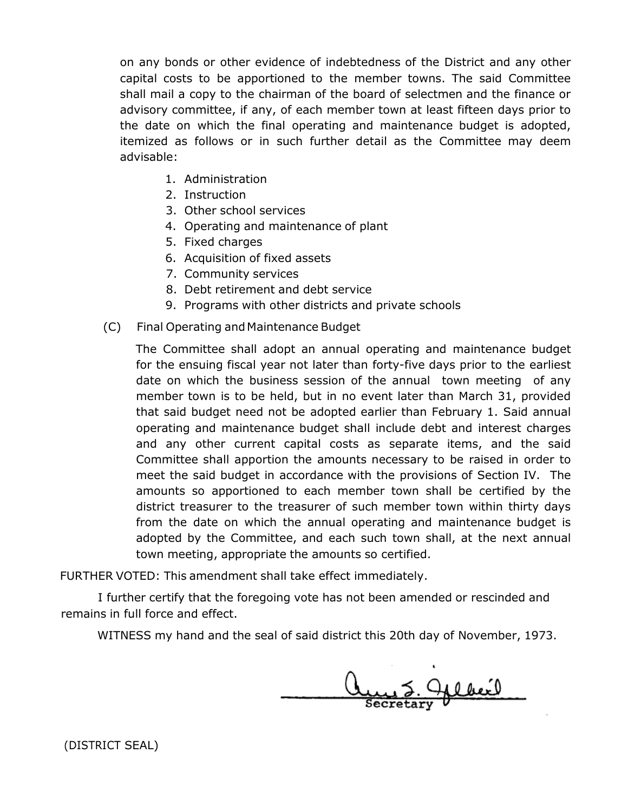on any bonds or other evidence of indebtedness of the District and any other capital costs to be apportioned to the member towns. The said Committee shall mail a copy to the chairman of the board of selectmen and the finance or advisory committee, if any, of each member town at least fifteen days prior to the date on which the final operating and maintenance budget is adopted, itemized as follows or in such further detail as the Committee may deem advisable:

- 1. Administration
- 2. Instruction
- 3. Other school services
- 4. Operating and maintenance of plant
- 5. Fixed charges
- 6. Acquisition of fixed assets
- 7. Community services
- 8. Debt retirement and debt service
- 9. Programs with other districts and private schools
- (C) Final Operating and Maintenance Budget

The Committee shall adopt an annual operating and maintenance budget for the ensuing fiscal year not later than forty-five days prior to the earliest date on which the business session of the annual town meeting of any member town is to be held, but in no event later than March 31, provided that said budget need not be adopted earlier than February 1. Said annual operating and maintenance budget shall include debt and interest charges and any other current capital costs as separate items, and the said Committee shall apportion the amounts necessary to be raised in order to meet the said budget in accordance with the provisions of Section IV. The amounts so apportioned to each member town shall be certified by the district treasurer to the treasurer of such member town within thirty days from the date on which the annual operating and maintenance budget is adopted by the Committee, and each such town shall, at the next annual town meeting, appropriate the amounts so certified.

FURTHER VOTED: This amendment shall take effect immediately.

I further certify that the foregoing vote has not been amended or rescinded and remains in full force and effect.

WITNESS my hand and the seal of said district this 20th day of November, 1973.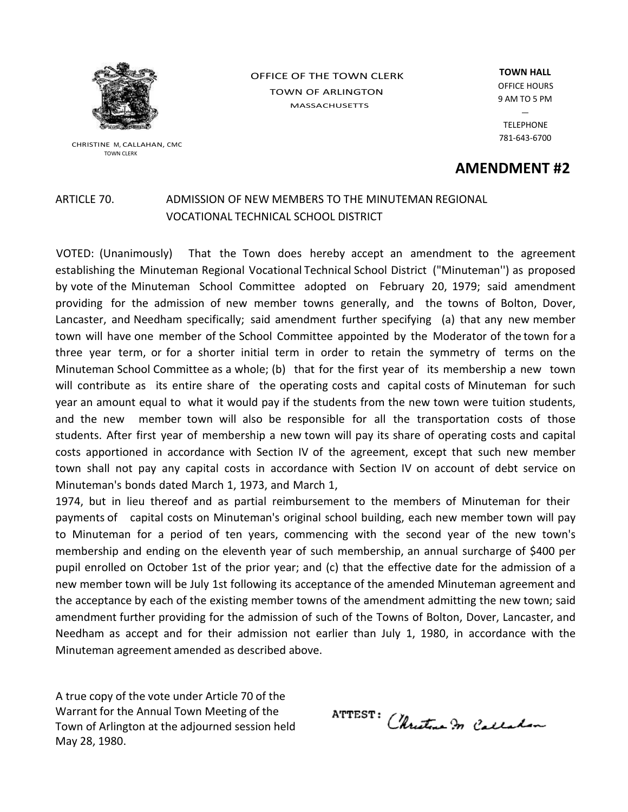

CHRISTINE M, CALLAHAN, CMC TOWN CLERK

OFFICE OF THE TOWN CLERK TOWN OF ARLINGTON MASSACHUSETTS

**TOWN HALL** OFFICE HOURS 9 AM TO 5 PM  $\equiv$ TELEPHONE

781‐643‐6700

**AMENDMENT #2**

## ARTICLE 70. ADMISSION OF NEW MEMBERS TO THE MINUTEMAN REGIONAL VOCATIONAL TECHNICAL SCHOOL DISTRICT

VOTED: (Unanimously) That the Town does hereby accept an amendment to the agreement establishing the Minuteman Regional Vocational Technical School District ("Minuteman'') as proposed by vote of the Minuteman School Committee adopted on February 20, 1979; said amendment providing for the admission of new member towns generally, and the towns of Bolton, Dover, Lancaster, and Needham specifically; said amendment further specifying (a) that any new member town will have one member of the School Committee appointed by the Moderator of the town for a three year term, or for a shorter initial term in order to retain the symmetry of terms on the Minuteman School Committee as a whole; (b) that for the first year of its membership a new town will contribute as its entire share of the operating costs and capital costs of Minuteman for such year an amount equal to what it would pay if the students from the new town were tuition students, and the new member town will also be responsible for all the transportation costs of those students. After first year of membership a new town will pay its share of operating costs and capital costs apportioned in accordance with Section IV of the agreement, except that such new member town shall not pay any capital costs in accordance with Section IV on account of debt service on Minuteman's bonds dated March 1, 1973, and March 1,

1974, but in lieu thereof and as partial reimbursement to the members of Minuteman for their payments of capital costs on Minuteman's original school building, each new member town will pay to Minuteman for a period of ten years, commencing with the second year of the new town's membership and ending on the eleventh year of such membership, an annual surcharge of \$400 per pupil enrolled on October 1st of the prior year; and (c) that the effective date for the admission of a new member town will be July 1st following its acceptance of the amended Minuteman agreement and the acceptance by each of the existing member towns of the amendment admitting the new town; said amendment further providing for the admission of such of the Towns of Bolton, Dover, Lancaster, and Needham as accept and for their admission not earlier than July 1, 1980, in accordance with the Minuteman agreement amended as described above.

A true copy of the vote under Article 70 of the Warrant for the Annual Town Meeting of the Town of Arlington at the adjourned session held May 28, 1980.

ATTEST: Christma In Calladon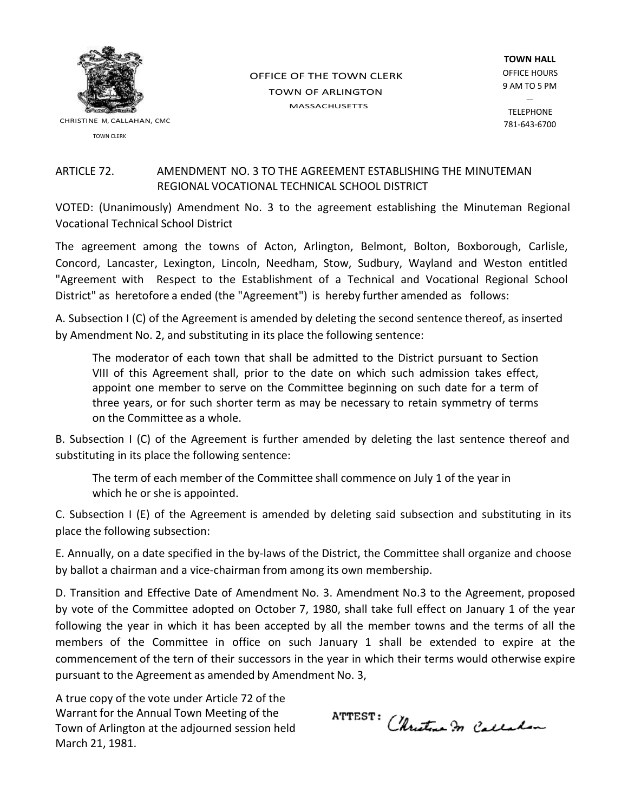

CHRISTINE M, CALLAHAN, CMC

TOWN CLERK

OFFICE OF THE TOWN CLERK TOWN OF ARLINGTON MASSACHUSETTS

**TOWN HALL** OFFICE HOURS 9 AM TO 5 PM

**TELEPHONE** 781‐643‐6700

## ARTICLE 72. AMENDMENT NO. 3 TO THE AGREEMENT ESTABLISHING THE MINUTEMAN REGIONAL VOCATIONAL TECHNICAL SCHOOL DISTRICT

VOTED: (Unanimously) Amendment No. 3 to the agreement establishing the Minuteman Regional Vocational Technical School District

The agreement among the towns of Acton, Arlington, Belmont, Bolton, Boxborough, Carlisle, Concord, Lancaster, Lexington, Lincoln, Needham, Stow, Sudbury, Wayland and Weston entitled "Agreement with Respect to the Establishment of a Technical and Vocational Regional School District" as heretofore a ended (the "Agreement") is hereby further amended as follows:

A. Subsection I (C) of the Agreement is amended by deleting the second sentence thereof, as inserted by Amendment No. 2, and substituting in its place the following sentence:

The moderator of each town that shall be admitted to the District pursuant to Section VIII of this Agreement shall, prior to the date on which such admission takes effect, appoint one member to serve on the Committee beginning on such date for a term of three years, or for such shorter term as may be necessary to retain symmetry of terms on the Committee as a whole.

B. Subsection I (C) of the Agreement is further amended by deleting the last sentence thereof and substituting in its place the following sentence:

The term of each member of the Committee shall commence on July 1 of the year in which he or she is appointed.

C. Subsection I (E) of the Agreement is amended by deleting said subsection and substituting in its place the following subsection:

E. Annually, on a date specified in the by‐laws of the District, the Committee shall organize and choose by ballot a chairman and a vice‐chairman from among its own membership.

D. Transition and Effective Date of Amendment No. 3. Amendment No.3 to the Agreement, proposed by vote of the Committee adopted on October 7, 1980, shall take full effect on January 1 of the year following the year in which it has been accepted by all the member towns and the terms of all the members of the Committee in office on such January 1 shall be extended to expire at the commencement of the tern of their successors in the year in which their terms would otherwise expire pursuant to the Agreement as amended by Amendment No. 3,

A true copy of the vote under Article 72 of the Warrant for the Annual Town Meeting of the Town of Arlington at the adjourned session held March 21, 1981.

**ATTEST:** Christine In Calladon